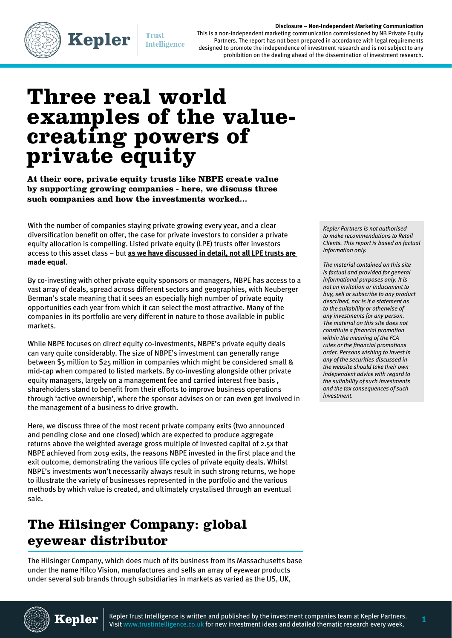#### **Disclosure – Non-Independent Marketing Communication**



**Trust Intelligence** 

**Kepler** 

This is a non-independent marketing communication commissioned by NB Private Equity Partners. The report has not been prepared in accordance with legal requirements designed to promote the independence of investment research and is not subject to any prohibition on the dealing ahead of the dissemination of investment research.

# **Three real world examples of the valuecreating powers of private equity**

**At their core, private equity trusts like NBPE create value by supporting growing companies - here, we discuss three such companies and how the investments worked...**

With the number of companies staying private growing every year, and a clear diversification benefit on offer, the case for private investors to consider a private equity allocation is compelling. Listed private equity (LPE) trusts offer investors access to this asset class – but **[as we have discussed in detail, not all LPE trusts are](https://trustintelligence.co.uk/investor/articles/why-private-equity-could-boost-your-portfolio-jan-2020)  [made equal](https://trustintelligence.co.uk/investor/articles/why-private-equity-could-boost-your-portfolio-jan-2020)**.

By co-investing with other private equity sponsors or managers, NBPE has access to a vast array of deals, spread across different sectors and geographies, with Neuberger Berman's scale meaning that it sees an especially high number of private equity opportunities each year from which it can select the most attractive. Many of the companies in its portfolio are very different in nature to those available in public markets.

While NBPE focuses on direct equity co-investments, NBPE's private equity deals can vary quite considerably. The size of NBPE's investment can generally range between \$5 million to \$25 million in companies which might be considered small & mid-cap when compared to listed markets. By co-investing alongside other private equity managers, largely on a management fee and carried interest free basis , shareholders stand to benefit from their efforts to improve business operations through 'active ownership', where the sponsor advises on or can even get involved in the management of a business to drive growth.

Here, we discuss three of the most recent private company exits (two announced and pending close and one closed) which are expected to produce aggregate returns above the weighted average gross multiple of invested capital of 2.5x that NBPE achieved from 2019 exits, the reasons NBPE invested in the first place and the exit outcome, demonstrating the various life cycles of private equity deals. Whilst NBPE's investments won't necessarily always result in such strong returns, we hope to illustrate the variety of businesses represented in the portfolio and the various methods by which value is created, and ultimately crystalised through an eventual sale.

## **The Hilsinger Company: global eyewear distributor**

The Hilsinger Company, which does much of its business from its Massachusetts base under the name Hilco Vision, manufactures and sells an array of eyewear products under several sub brands through subsidiaries in markets as varied as the US, UK,

*Kepler Partners is not authorised to make recommendations to Retail Clients. This report is based on factual information only.* 

*The material contained on this site is factual and provided for general informational purposes only. It is not an invitation or inducement to buy, sell or subscribe to any product described, nor is it a statement as to the suitability or otherwise of any investments for any person. The material on this site does not constitute a financial promotion within the meaning of the FCA rules or the financial promotions order. Persons wishing to invest in any of the securities discussed in the website should take their own independent advice with regard to the suitability of such investments and the tax consequences of such investment.* 



**Kepler**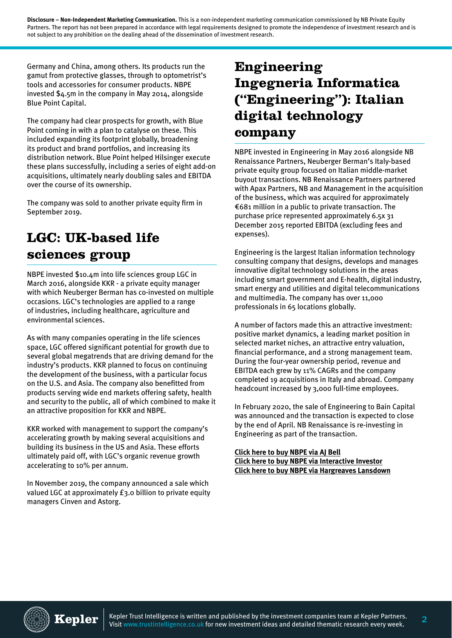**Disclosure – Non-Independent Marketing Communication.** This is a non-independent marketing communication commissioned by NB Private Equity Partners. The report has not been prepared in accordance with legal requirements designed to promote the independence of investment research and is not subject to any prohibition on the dealing ahead of the dissemination of investment research.

Germany and China, among others. Its products run the gamut from protective glasses, through to optometrist's tools and accessories for consumer products. NBPE invested \$4.5m in the company in May 2014, alongside Blue Point Capital.

The company had clear prospects for growth, with Blue Point coming in with a plan to catalyse on these. This included expanding its footprint globally, broadening its product and brand portfolios, and increasing its distribution network. Blue Point helped Hilsinger execute these plans successfully, including a series of eight add-on acquisitions, ultimately nearly doubling sales and EBITDA over the course of its ownership.

The company was sold to another private equity firm in September 2019.

#### **LGC: UK-based life sciences group**

NBPE invested \$10.4m into life sciences group LGC in March 2016, alongside KKR - a private equity manager with which Neuberger Berman has co-invested on multiple occasions. LGC's technologies are applied to a range of industries, including healthcare, agriculture and environmental sciences.

As with many companies operating in the life sciences space, LGC offered significant potential for growth due to several global megatrends that are driving demand for the industry's products. KKR planned to focus on continuing the development of the business, with a particular focus on the U.S. and Asia. The company also benefitted from products serving wide end markets offering safety, health and security to the public, all of which combined to make it an attractive proposition for KKR and NBPE.

KKR worked with management to support the company's accelerating growth by making several acquisitions and building its business in the US and Asia. These efforts ultimately paid off, with LGC's organic revenue growth accelerating to 10% per annum.

In November 2019, the company announced a sale which valued LGC at approximately £3.0 billion to private equity managers Cinven and Astorg.

## **Engineering Ingegneria Informatica ("Engineering"): Italian digital technology company**

NBPE invested in Engineering in May 2016 alongside NB Renaissance Partners, Neuberger Berman's Italy-based private equity group focused on Italian middle-market buyout transactions. NB Renaissance Partners partnered with Apax Partners, NB and Management in the acquisition of the business, which was acquired for approximately €681 million in a public to private transaction. The purchase price represented approximately 6.5x 31 December 2015 reported EBITDA (excluding fees and expenses).

Engineering is the largest Italian information technology consulting company that designs, develops and manages innovative digital technology solutions in the areas including smart government and E-health, digital industry, smart energy and utilities and digital telecommunications and multimedia. The company has over 11,000 professionals in 65 locations globally.

A number of factors made this an attractive investment: positive market dynamics, a leading market position in selected market niches, an attractive entry valuation, financial performance, and a strong management team. During the four-year ownership period, revenue and EBITDA each grew by 11% CAGRs and the company completed 19 acquisitions in Italy and abroad. Company headcount increased by 3,000 full-time employees.

In February 2020, the sale of Engineering to Bain Capital was announced and the transaction is expected to close by the end of April. NB Renaissance is re-investing in Engineering as part of the transaction.

**[Click here to buy NBPE via AJ Bell](https://www.youinvest.co.uk/market-research/LSE:NBPE) [Click here to buy NBPE via Interactive Investor](https://www.ii.co.uk/investment-trusts/nb-private-equity-partners-ord/LSE:NBPE) [Click here to buy NBPE via Hargreaves Lansdown](https://www.hl.co.uk/shares/shares-search-results/n/nb-private-equity-partners-ltd-ord-usd0.01)**